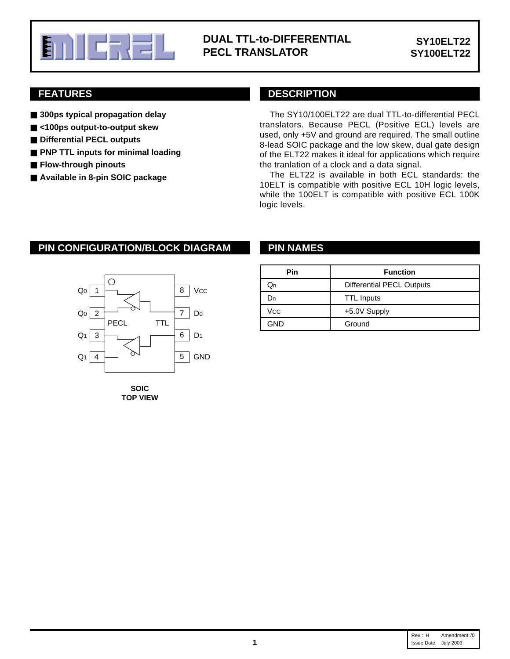

## **DUAL TTL-to-DIFFERENTIAL PECL TRANSLATOR**

## **FEATURES**

- **300ps typical propagation delay**
- **<100ps output-to-output skew**
- Differential PECL outputs
- **PNP TTL inputs for minimal loading**
- **Flow-through pinouts**
- **Available in 8-pin SOIC package**

### **DESCRIPTION**

The SY10/100ELT22 are dual TTL-to-differential PECL translators. Because PECL (Positive ECL) levels are used, only +5V and ground are required. The small outline 8-lead SOIC package and the low skew, dual gate design of the ELT22 makes it ideal for applications which require the tranlation of a clock and a data signal.

The ELT22 is available in both ECL standards: the 10ELT is compatible with positive ECL 10H logic levels, while the 100ELT is compatible with positive ECL 100K logic levels.

## **PIN CONFIGURATION/BLOCK DIAGRAM PIN NAMES**



**SOIC TOP VIEW**

| Pin | <b>Function</b>           |
|-----|---------------------------|
| Jn  | Differential PECL Outputs |
| )n  | <b>TTL Inputs</b>         |
| Vcc | +5.0V Supply              |
| GND | Ground                    |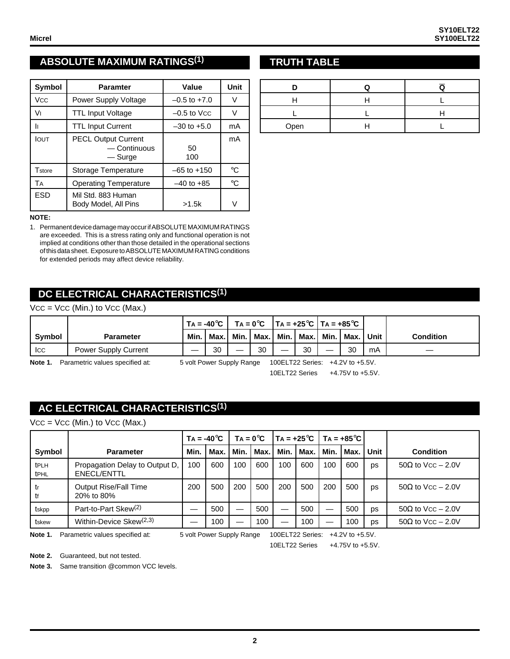# **ABSOLUTE MAXIMUM RATINGS(1)**

| <b>Symbol</b> | <b>Paramter</b>                                       | Value            | Unit        |
|---------------|-------------------------------------------------------|------------------|-------------|
| <b>Vcc</b>    | Power Supply Voltage                                  | $-0.5$ to $+7.0$ | V           |
| V١            | <b>TTL Input Voltage</b>                              | $-0.5$ to Vcc    | V           |
| Iı            | <b>TTL Input Current</b>                              | $-30$ to $+5.0$  | mA          |
| <b>IOUT</b>   | <b>PECL Output Current</b><br>— Continuous<br>— Surge | 50<br>100        | mA          |
| Tstore        | Storage Temperature                                   | $-65$ to $+150$  | $^{\circ}C$ |
| TA            | <b>Operating Temperature</b>                          | $-40$ to $+85$   | $^{\circ}C$ |
| ESD           | Mil Std. 883 Human<br>Body Model, All Pins            | >1.5k            |             |

#### **NOTE:**

1. Permanent device damage may occur if ABSOLUTE MAXIMUM RATINGS are exceeded. This is a stress rating only and functional operation is not implied at conditions other than those detailed in the operational sections of this data sheet. Exposure to ABSOLUTE MAXIMUM RATlNG conditions for extended periods may affect device reliability.

## **DC ELECTRICAL CHARACTERISTICS(1)**

#### $VCC = VCC$  (Min.) to  $VCC$  (Max.)

|                                                                                                             |                             | $\top$ A = -40°C   TA = 0°C   TA = +25°C   TA = +85°C |       |  |                                  |  |    |  |               |    |                  |
|-------------------------------------------------------------------------------------------------------------|-----------------------------|-------------------------------------------------------|-------|--|----------------------------------|--|----|--|---------------|----|------------------|
| Symbol                                                                                                      | <b>Parameter</b>            | Min.                                                  | Max.l |  | Min.   Max.   Min.   Max.   Min. |  |    |  | l Max. I Unit |    | <b>Condition</b> |
| Icc                                                                                                         | <b>Power Supply Current</b> |                                                       | 30    |  | 30                               |  | 30 |  | 30            | mA |                  |
| Note 1.<br>100ELT22 Series: +4.2V to +5.5V.<br>Parametric values specified at:<br>5 volt Power Supply Range |                             |                                                       |       |  |                                  |  |    |  |               |    |                  |

10ELT22 Series +4.75V to +5.5V.

## **AC ELECTRICAL CHARACTERISTICS(1)**

 $VCC = VCC$  (Min.) to  $VCC$  (Max.)

|              |                                               | $TA = -40^{\circ}C$ |      | $Ta = 0^{\circ}C$ |        | Ta = +25°C   Ta = +85°C |        |      |        |      |                           |
|--------------|-----------------------------------------------|---------------------|------|-------------------|--------|-------------------------|--------|------|--------|------|---------------------------|
| Symbol       | <b>Parameter</b>                              | Min.                | Max. | Min.              | l Max. | Min.                    | l Max. | Min. | l Max. | Unit | <b>Condition</b>          |
| tPLH<br>tPHL | Propagation Delay to Output D,<br>ENECL/ENTTL | 100                 | 600  | 100               | 600    | 100                     | 600    | 100  | 600    | DS   | $50\Omega$ to Vcc $-2.0V$ |
| tr<br>tf     | <b>Output Rise/Fall Time</b><br>20% to 80%    | 200                 | 500  | 200               | 500    | 200                     | 500    | 200  | 500    | DS   | $50\Omega$ to Vcc $-2.0V$ |
| tskpp        | Part-to-Part Skew <sup>(2)</sup>              |                     | 500  |                   | 500    |                         | 500    |      | 500    | DS   | $50\Omega$ to Vcc $-2.0V$ |
| tskew        | Within-Device Skew $(2,3)$                    |                     | 100  |                   | 100    |                         | 100    |      | 100    | DS   | $50\Omega$ to Vcc $-2.0V$ |

Note 1. Parametric values specified at: 5 volt Power Supply Range 100ELT22 Series: +4.2V to +5.5V.

10ELT22 Series +4.75V to +5.5V.

**Note 2.** Guaranteed, but not tested.

**Note 3.** Same transition @common VCC levels.

### **TRUTH TABLE**

| Open |  |
|------|--|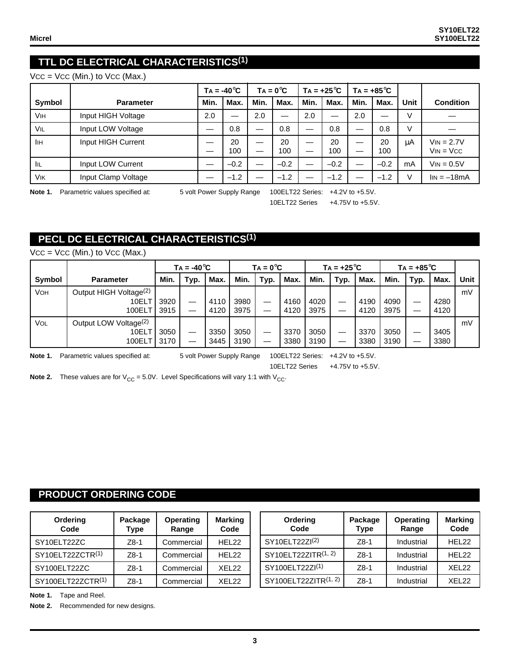# **TTL DC ELECTRICAL CHARACTERISTICS(1)**

 $VCC = VCC$  (Min.) to  $VCC$  (Max.)

|                       |                     |      | $Ta = -40^{\circ}C$ |        | $TA = 0^{\circ}C$ |      | $TA = +25^{\circ}C$ |      | $TA = +85^{\circ}C$ |        |                                |
|-----------------------|---------------------|------|---------------------|--------|-------------------|------|---------------------|------|---------------------|--------|--------------------------------|
| Symbol                | <b>Parameter</b>    | Min. | Max.                | Min.   | Max.              | Min. | Max.                | Min. | Max.                | Unit   | <b>Condition</b>               |
| <b>V<sub>IH</sub></b> | Input HIGH Voltage  | 2.0  |                     | 2.0    |                   | 2.0  |                     | 2.0  |                     | v      |                                |
| VIL                   | Input LOW Voltage   |      | 0.8                 | —      | 0.8               |      | 0.8                 |      | 0.8                 | $\vee$ |                                |
| IІн                   | Input HIGH Current  |      | 20<br>100           | —<br>— | 20<br>100         | —    | 20<br>100           |      | 20<br>100           | μA     | $V_{IN} = 2.7V$<br>$VIN = VCC$ |
| - IIL                 | Input LOW Current   |      | $-0.2$              |        | $-0.2$            |      | $-0.2$              |      | $-0.2$              | mA     | $V_{IN} = 0.5V$                |
| <b>V<sub>IK</sub></b> | Input Clamp Voltage |      | $-1.2$              |        | $-1.2$            | —    | $-1.2$              |      | $-1.2$              |        | $\text{lin} = -18 \text{mA}$   |

Note 1. Parametric values specified at: 5 volt Power Supply Range 100ELT22 Series: +4.2V to +5.5V.

10ELT22 Series +4.75V to +5.5V.

## **PECL DC ELECTRICAL CHARACTERISTICS(1)**

|        |                                                       | $Ta = -40^{\circ}C$ |      | $TA = 0^{\circ}C$ |              |      | Ta = +25°C   |              |      | $TA = +85^{\circ}C$ |              |         |              |      |
|--------|-------------------------------------------------------|---------------------|------|-------------------|--------------|------|--------------|--------------|------|---------------------|--------------|---------|--------------|------|
| Symbol | <b>Parameter</b>                                      | Min.                | Typ. | Max.              | Min.         | Typ. | Max.         | Min.         | Typ. | Max.                | Min.         | Typ.    | Max.         | Unit |
| VOH    | Output HIGH Voltage <sup>(2)</sup><br>10ELT<br>100ELT | 3920<br>3915        |      | 4110<br>4120      | 3980<br>3975 | —    | 4160<br>4120 | 4020<br>3975 |      | 4190<br>4120        | 4090<br>3975 | –       | 4280<br>4120 | mV   |
| Vol    | Output LOW Voltage <sup>(2)</sup><br>10ELT<br>100ELT  | 3050<br>3170        |      | 3350<br>3445      | 3050<br>3190 |      | 3370<br>3380 | 3050<br>3190 |      | 3370<br>3380        | 3050<br>3190 | __<br>– | 3405<br>3380 | mV   |

 $VCC = VCC$  (Min.) to  $VCC$  (Max.)

Note 1. Parametric values specified at: 5 volt Power Supply Range 100ELT22 Series: +4.2V to +5.5V.

10ELT22 Series +4.75V to +5.5V.

**Note 2.** These values are for  $V_{CC} = 5.0V$ . Level Specifications will vary 1:1 with  $V_{CC}$ .

#### **PRODUCT ORDERING CODE**

| Ordering<br>Code  | Package<br><b>Type</b> | <b>Operating</b><br>Range | <b>Marking</b><br>Code |
|-------------------|------------------------|---------------------------|------------------------|
| SY10ELT22ZC       | $Z8-1$                 | Commercial                | HEL22                  |
| SY10ELT22ZCTR(1)  | $Z8-1$                 | Commercial                | HEL22                  |
| SY100ELT22ZC      | $Z8-1$                 | Commercial                | XEL <sub>22</sub>      |
| SY100ELT22ZCTR(1) | $Z8-1$                 | Commercial                | <b>XFL22</b>           |

| Ordering<br>Code           | Package<br><b>Type</b> | <b>Operating</b><br>Range | <b>Marking</b><br>Code |
|----------------------------|------------------------|---------------------------|------------------------|
| SY10ELT22ZI <sup>(2)</sup> | $Z8-1$                 | Industrial                | HEL22                  |
| SY10ELT22ZITR(1, 2)        | $Z8-1$                 | Industrial                | HEL22                  |
| SY100ELT22ZI(1)            | $Z8-1$                 | Industrial                | XEL <sub>22</sub>      |
| SY100ELT22ZITR(1, 2)       | $Z8-1$                 | Industrial                | <b>XFL22</b>           |

**Note 1.** Tape and Reel.

**Note 2.** Recommended for new designs.